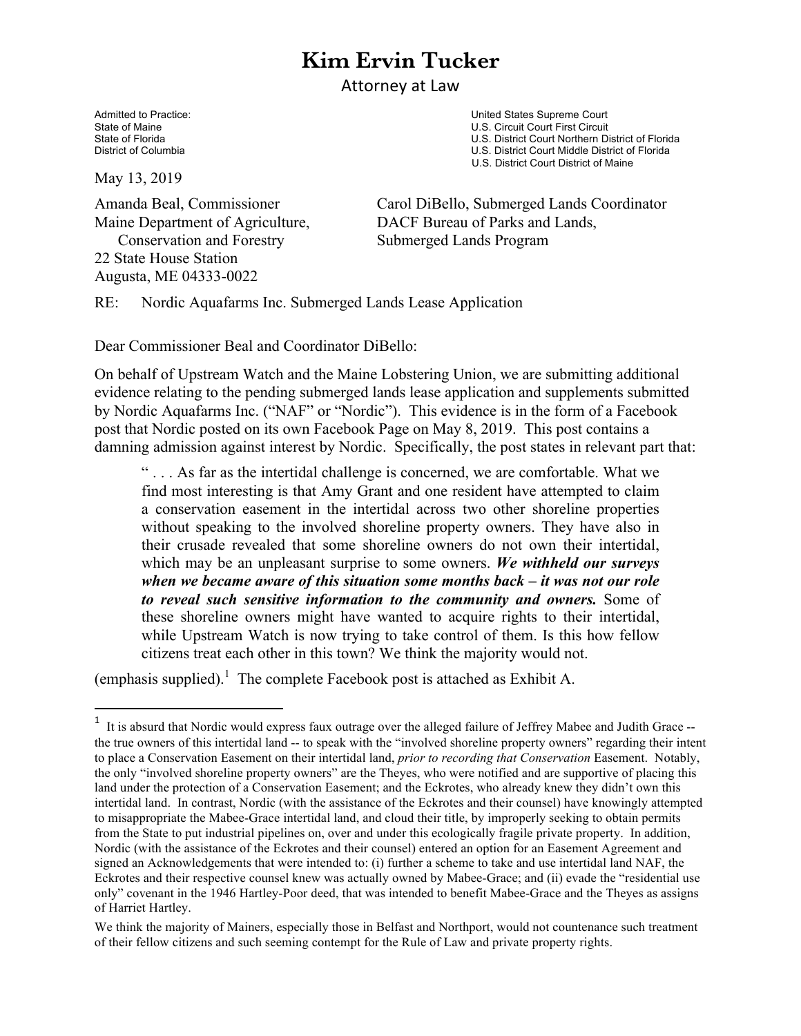## **Kim Ervin Tucker**

**Attorney** at Law

Admitted to Practice:  $\blacksquare$ State of Maine **State of Maine 19th Court First Circuit** Court First Circuit Court First Circuit Court First Circuit Court Northern District Court Northern District Court Northern District Court Northern District Court Nor State of Florida State of Florida U.S. District Court Northern District of Florida<br>District of Columbia U.S. District Court Middle District of Florida U.S. District Court Middle District of Florida U.S. District Court District of Maine

May 13, 2019

 Conservation and Forestry Submerged Lands Program 22 State House Station Augusta, ME 04333-0022

 

Amanda Beal, Commissioner Carol DiBello, Submerged Lands Coordinator Maine Department of Agriculture, DACF Bureau of Parks and Lands,

RE: Nordic Aquafarms Inc. Submerged Lands Lease Application

Dear Commissioner Beal and Coordinator DiBello:

On behalf of Upstream Watch and the Maine Lobstering Union, we are submitting additional evidence relating to the pending submerged lands lease application and supplements submitted by Nordic Aquafarms Inc. ("NAF" or "Nordic"). This evidence is in the form of a Facebook post that Nordic posted on its own Facebook Page on May 8, 2019. This post contains a damning admission against interest by Nordic. Specifically, the post states in relevant part that:

" . . . As far as the intertidal challenge is concerned, we are comfortable. What we find most interesting is that Amy Grant and one resident have attempted to claim a conservation easement in the intertidal across two other shoreline properties without speaking to the involved shoreline property owners. They have also in their crusade revealed that some shoreline owners do not own their intertidal, which may be an unpleasant surprise to some owners. *We withheld our surveys when we became aware of this situation some months back – it was not our role to reveal such sensitive information to the community and owners.* Some of these shoreline owners might have wanted to acquire rights to their intertidal, while Upstream Watch is now trying to take control of them. Is this how fellow citizens treat each other in this town? We think the majority would not.

(emphasis supplied).<sup>1</sup> The complete Facebook post is attached as Exhibit A.

<sup>&</sup>lt;sup>1</sup> It is absurd that Nordic would express faux outrage over the alleged failure of Jeffrey Mabee and Judith Grace -the true owners of this intertidal land -- to speak with the "involved shoreline property owners" regarding their intent to place a Conservation Easement on their intertidal land, *prior to recording that Conservation* Easement. Notably, the only "involved shoreline property owners" are the Theyes, who were notified and are supportive of placing this land under the protection of a Conservation Easement; and the Eckrotes, who already knew they didn't own this intertidal land. In contrast, Nordic (with the assistance of the Eckrotes and their counsel) have knowingly attempted to misappropriate the Mabee-Grace intertidal land, and cloud their title, by improperly seeking to obtain permits from the State to put industrial pipelines on, over and under this ecologically fragile private property. In addition, Nordic (with the assistance of the Eckrotes and their counsel) entered an option for an Easement Agreement and signed an Acknowledgements that were intended to: (i) further a scheme to take and use intertidal land NAF, the Eckrotes and their respective counsel knew was actually owned by Mabee-Grace; and (ii) evade the "residential use only" covenant in the 1946 Hartley-Poor deed, that was intended to benefit Mabee-Grace and the Theyes as assigns of Harriet Hartley.

We think the majority of Mainers, especially those in Belfast and Northport, would not countenance such treatment of their fellow citizens and such seeming contempt for the Rule of Law and private property rights.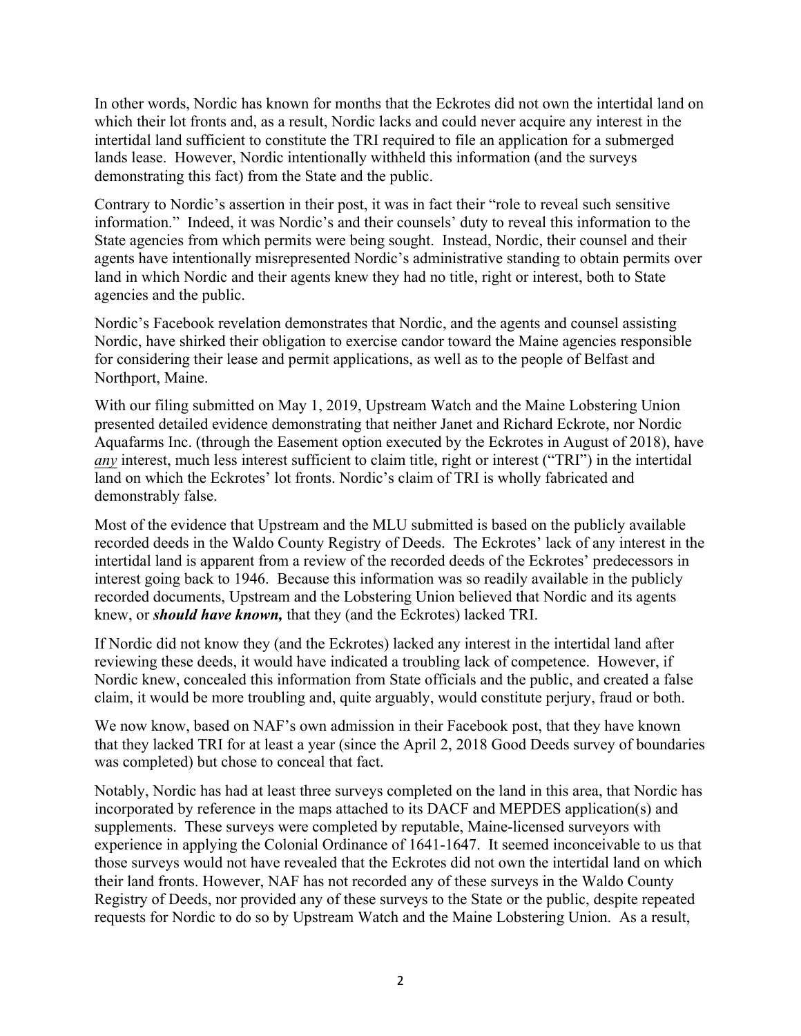In other words, Nordic has known for months that the Eckrotes did not own the intertidal land on which their lot fronts and, as a result, Nordic lacks and could never acquire any interest in the intertidal land sufficient to constitute the TRI required to file an application for a submerged lands lease. However, Nordic intentionally withheld this information (and the surveys demonstrating this fact) from the State and the public.

Contrary to Nordic's assertion in their post, it was in fact their "role to reveal such sensitive information." Indeed, it was Nordic's and their counsels' duty to reveal this information to the State agencies from which permits were being sought. Instead, Nordic, their counsel and their agents have intentionally misrepresented Nordic's administrative standing to obtain permits over land in which Nordic and their agents knew they had no title, right or interest, both to State agencies and the public.

Nordic's Facebook revelation demonstrates that Nordic, and the agents and counsel assisting Nordic, have shirked their obligation to exercise candor toward the Maine agencies responsible for considering their lease and permit applications, as well as to the people of Belfast and Northport, Maine.

With our filing submitted on May 1, 2019, Upstream Watch and the Maine Lobstering Union presented detailed evidence demonstrating that neither Janet and Richard Eckrote, nor Nordic Aquafarms Inc. (through the Easement option executed by the Eckrotes in August of 2018), have *any* interest, much less interest sufficient to claim title, right or interest ("TRI") in the intertidal land on which the Eckrotes' lot fronts. Nordic's claim of TRI is wholly fabricated and demonstrably false.

Most of the evidence that Upstream and the MLU submitted is based on the publicly available recorded deeds in the Waldo County Registry of Deeds. The Eckrotes' lack of any interest in the intertidal land is apparent from a review of the recorded deeds of the Eckrotes' predecessors in interest going back to 1946. Because this information was so readily available in the publicly recorded documents, Upstream and the Lobstering Union believed that Nordic and its agents knew, or *should have known,* that they (and the Eckrotes) lacked TRI.

If Nordic did not know they (and the Eckrotes) lacked any interest in the intertidal land after reviewing these deeds, it would have indicated a troubling lack of competence. However, if Nordic knew, concealed this information from State officials and the public, and created a false claim, it would be more troubling and, quite arguably, would constitute perjury, fraud or both.

We now know, based on NAF's own admission in their Facebook post, that they have known that they lacked TRI for at least a year (since the April 2, 2018 Good Deeds survey of boundaries was completed) but chose to conceal that fact.

Notably, Nordic has had at least three surveys completed on the land in this area, that Nordic has incorporated by reference in the maps attached to its DACF and MEPDES application(s) and supplements. These surveys were completed by reputable, Maine-licensed surveyors with experience in applying the Colonial Ordinance of 1641-1647. It seemed inconceivable to us that those surveys would not have revealed that the Eckrotes did not own the intertidal land on which their land fronts. However, NAF has not recorded any of these surveys in the Waldo County Registry of Deeds, nor provided any of these surveys to the State or the public, despite repeated requests for Nordic to do so by Upstream Watch and the Maine Lobstering Union. As a result,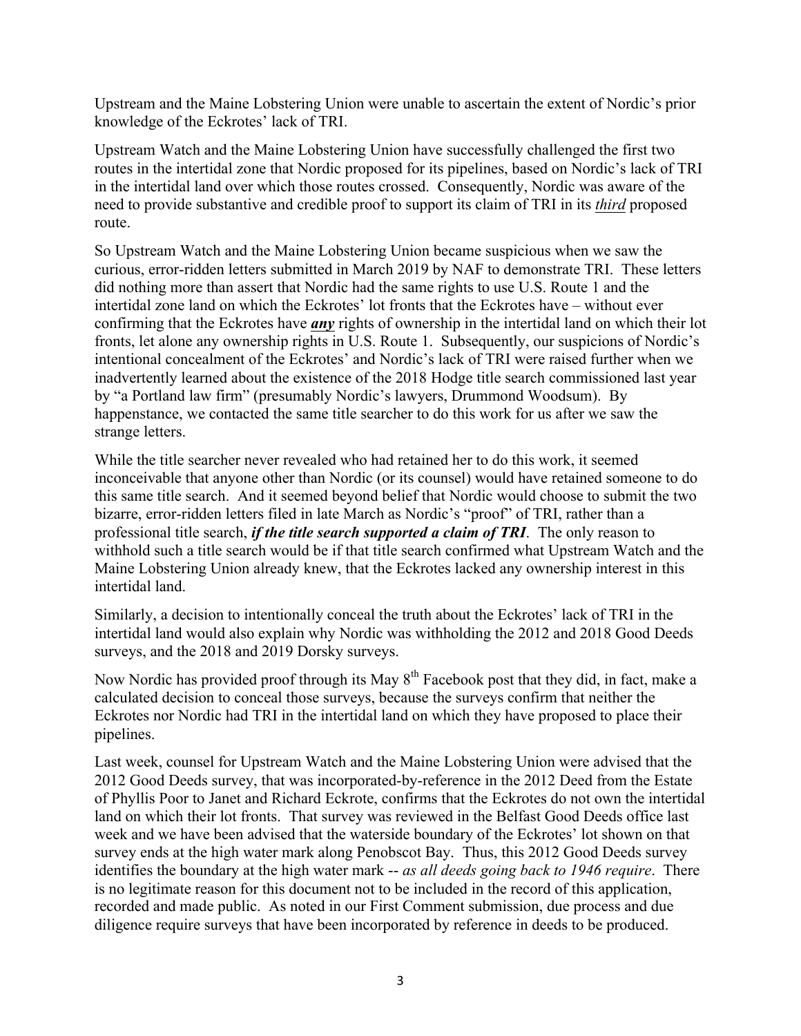Upstream and the Maine Lobstering Union were unable to ascertain the extent of Nordic's prior knowledge of the Eckrotes' lack of TRI.

Upstream Watch and the Maine Lobstering Union have successfully challenged the first two routes in the intertidal zone that Nordic proposed for its pipelines, based on Nordic's lack of TRI in the intertidal land over which those routes crossed. Consequently, Nordic was aware of the need to provide substantive and credible proof to support its claim of TRI in its *third* proposed route.

So Upstream Watch and the Maine Lobstering Union became suspicious when we saw the curious, error-ridden letters submitted in March 2019 by NAF to demonstrate TRI. These letters did nothing more than assert that Nordic had the same rights to use U.S. Route 1 and the intertidal zone land on which the Eckrotes' lot fronts that the Eckrotes have – without ever confirming that the Eckrotes have *any* rights of ownership in the intertidal land on which their lot fronts, let alone any ownership rights in U.S. Route 1. Subsequently, our suspicions of Nordic's intentional concealment of the Eckrotes' and Nordic's lack of TRI were raised further when we inadvertently learned about the existence of the 2018 Hodge title search commissioned last year by "a Portland law firm" (presumably Nordic's lawyers, Drummond Woodsum). By happenstance, we contacted the same title searcher to do this work for us after we saw the strange letters.

While the title searcher never revealed who had retained her to do this work, it seemed inconceivable that anyone other than Nordic (or its counsel) would have retained someone to do this same title search. And it seemed beyond belief that Nordic would choose to submit the two bizarre, error-ridden letters filed in late March as Nordic's "proof" of TRI, rather than a professional title search, *if the title search supported a claim of TRI*. The only reason to withhold such a title search would be if that title search confirmed what Upstream Watch and the Maine Lobstering Union already knew, that the Eckrotes lacked any ownership interest in this intertidal land.

Similarly, a decision to intentionally conceal the truth about the Eckrotes' lack of TRI in the intertidal land would also explain why Nordic was withholding the 2012 and 2018 Good Deeds surveys, and the 2018 and 2019 Dorsky surveys.

Now Nordic has provided proof through its May  $8<sup>th</sup>$  Facebook post that they did, in fact, make a calculated decision to conceal those surveys, because the surveys confirm that neither the Eckrotes nor Nordic had TRI in the intertidal land on which they have proposed to place their pipelines.

Last week, counsel for Upstream Watch and the Maine Lobstering Union were advised that the 2012 Good Deeds survey, that was incorporated-by-reference in the 2012 Deed from the Estate of Phyllis Poor to Janet and Richard Eckrote, confirms that the Eckrotes do not own the intertidal land on which their lot fronts. That survey was reviewed in the Belfast Good Deeds office last week and we have been advised that the waterside boundary of the Eckrotes' lot shown on that survey ends at the high water mark along Penobscot Bay. Thus, this 2012 Good Deeds survey identifies the boundary at the high water mark -- *as all deeds going back to 1946 require*. There is no legitimate reason for this document not to be included in the record of this application, recorded and made public. As noted in our First Comment submission, due process and due diligence require surveys that have been incorporated by reference in deeds to be produced.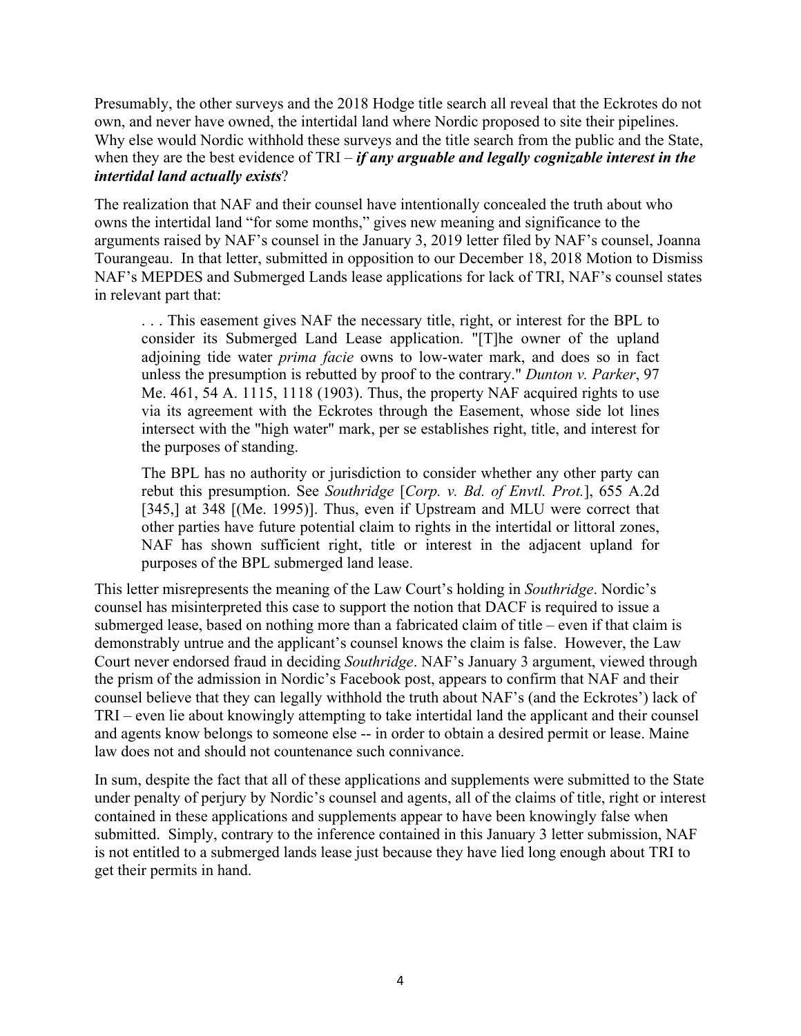Presumably, the other surveys and the 2018 Hodge title search all reveal that the Eckrotes do not own, and never have owned, the intertidal land where Nordic proposed to site their pipelines. Why else would Nordic withhold these surveys and the title search from the public and the State, when they are the best evidence of TRI – *if any arguable and legally cognizable interest in the intertidal land actually exists*?

The realization that NAF and their counsel have intentionally concealed the truth about who owns the intertidal land "for some months," gives new meaning and significance to the arguments raised by NAF's counsel in the January 3, 2019 letter filed by NAF's counsel, Joanna Tourangeau. In that letter, submitted in opposition to our December 18, 2018 Motion to Dismiss NAF's MEPDES and Submerged Lands lease applications for lack of TRI, NAF's counsel states in relevant part that:

. . . This easement gives NAF the necessary title, right, or interest for the BPL to consider its Submerged Land Lease application. "[T]he owner of the upland adjoining tide water *prima facie* owns to low-water mark, and does so in fact unless the presumption is rebutted by proof to the contrary." *Dunton v. Parker*, 97 Me. 461, 54 A. 1115, 1118 (1903). Thus, the property NAF acquired rights to use via its agreement with the Eckrotes through the Easement, whose side lot lines intersect with the "high water" mark, per se establishes right, title, and interest for the purposes of standing.

The BPL has no authority or jurisdiction to consider whether any other party can rebut this presumption. See *Southridge* [*Corp. v. Bd. of Envtl. Prot.*], 655 A.2d [345,] at 348 [(Me. 1995)]. Thus, even if Upstream and MLU were correct that other parties have future potential claim to rights in the intertidal or littoral zones, NAF has shown sufficient right, title or interest in the adjacent upland for purposes of the BPL submerged land lease.

This letter misrepresents the meaning of the Law Court's holding in *Southridge*. Nordic's counsel has misinterpreted this case to support the notion that DACF is required to issue a submerged lease, based on nothing more than a fabricated claim of title – even if that claim is demonstrably untrue and the applicant's counsel knows the claim is false. However, the Law Court never endorsed fraud in deciding *Southridge*. NAF's January 3 argument, viewed through the prism of the admission in Nordic's Facebook post, appears to confirm that NAF and their counsel believe that they can legally withhold the truth about NAF's (and the Eckrotes') lack of TRI – even lie about knowingly attempting to take intertidal land the applicant and their counsel and agents know belongs to someone else -- in order to obtain a desired permit or lease. Maine law does not and should not countenance such connivance.

In sum, despite the fact that all of these applications and supplements were submitted to the State under penalty of perjury by Nordic's counsel and agents, all of the claims of title, right or interest contained in these applications and supplements appear to have been knowingly false when submitted. Simply, contrary to the inference contained in this January 3 letter submission, NAF is not entitled to a submerged lands lease just because they have lied long enough about TRI to get their permits in hand.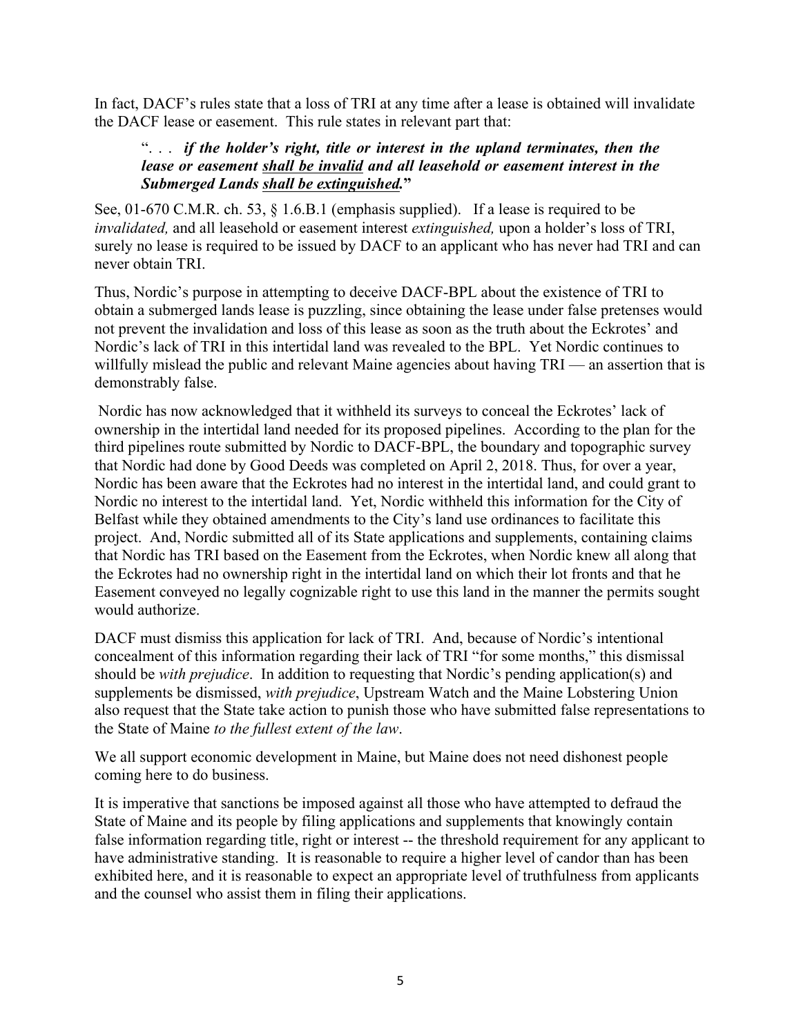In fact, DACF's rules state that a loss of TRI at any time after a lease is obtained will invalidate the DACF lease or easement. This rule states in relevant part that:

#### ". . . *if the holder's right, title or interest in the upland terminates, then the lease or easement shall be invalid and all leasehold or easement interest in the Submerged Lands shall be extinguished.***"**

See, 01-670 C.M.R. ch. 53, § 1.6.B.1 (emphasis supplied). If a lease is required to be *invalidated,* and all leasehold or easement interest *extinguished,* upon a holder's loss of TRI, surely no lease is required to be issued by DACF to an applicant who has never had TRI and can never obtain TRI.

Thus, Nordic's purpose in attempting to deceive DACF-BPL about the existence of TRI to obtain a submerged lands lease is puzzling, since obtaining the lease under false pretenses would not prevent the invalidation and loss of this lease as soon as the truth about the Eckrotes' and Nordic's lack of TRI in this intertidal land was revealed to the BPL. Yet Nordic continues to willfully mislead the public and relevant Maine agencies about having TRI — an assertion that is demonstrably false.

Nordic has now acknowledged that it withheld its surveys to conceal the Eckrotes' lack of ownership in the intertidal land needed for its proposed pipelines. According to the plan for the third pipelines route submitted by Nordic to DACF-BPL, the boundary and topographic survey that Nordic had done by Good Deeds was completed on April 2, 2018. Thus, for over a year, Nordic has been aware that the Eckrotes had no interest in the intertidal land, and could grant to Nordic no interest to the intertidal land. Yet, Nordic withheld this information for the City of Belfast while they obtained amendments to the City's land use ordinances to facilitate this project. And, Nordic submitted all of its State applications and supplements, containing claims that Nordic has TRI based on the Easement from the Eckrotes, when Nordic knew all along that the Eckrotes had no ownership right in the intertidal land on which their lot fronts and that he Easement conveyed no legally cognizable right to use this land in the manner the permits sought would authorize.

DACF must dismiss this application for lack of TRI. And, because of Nordic's intentional concealment of this information regarding their lack of TRI "for some months," this dismissal should be *with prejudice*. In addition to requesting that Nordic's pending application(s) and supplements be dismissed, *with prejudice*, Upstream Watch and the Maine Lobstering Union also request that the State take action to punish those who have submitted false representations to the State of Maine *to the fullest extent of the law*.

We all support economic development in Maine, but Maine does not need dishonest people coming here to do business.

It is imperative that sanctions be imposed against all those who have attempted to defraud the State of Maine and its people by filing applications and supplements that knowingly contain false information regarding title, right or interest -- the threshold requirement for any applicant to have administrative standing. It is reasonable to require a higher level of candor than has been exhibited here, and it is reasonable to expect an appropriate level of truthfulness from applicants and the counsel who assist them in filing their applications.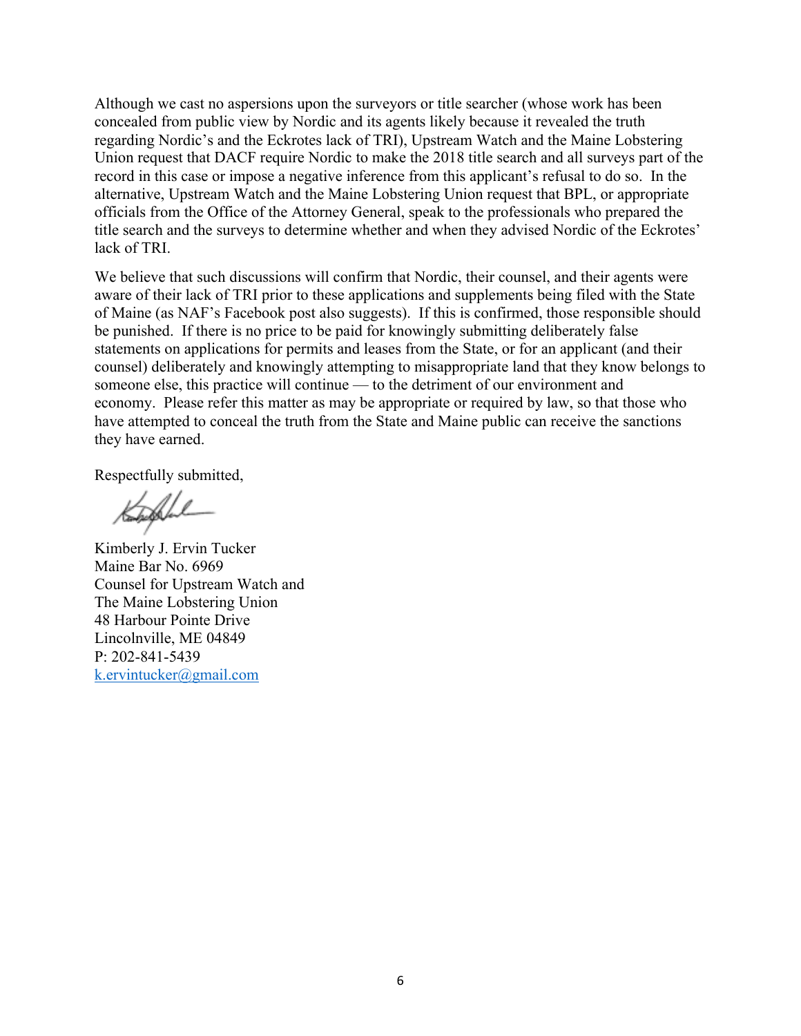Although we cast no aspersions upon the surveyors or title searcher (whose work has been concealed from public view by Nordic and its agents likely because it revealed the truth regarding Nordic's and the Eckrotes lack of TRI), Upstream Watch and the Maine Lobstering Union request that DACF require Nordic to make the 2018 title search and all surveys part of the record in this case or impose a negative inference from this applicant's refusal to do so. In the alternative, Upstream Watch and the Maine Lobstering Union request that BPL, or appropriate officials from the Office of the Attorney General, speak to the professionals who prepared the title search and the surveys to determine whether and when they advised Nordic of the Eckrotes' lack of TRI.

We believe that such discussions will confirm that Nordic, their counsel, and their agents were aware of their lack of TRI prior to these applications and supplements being filed with the State of Maine (as NAF's Facebook post also suggests). If this is confirmed, those responsible should be punished. If there is no price to be paid for knowingly submitting deliberately false statements on applications for permits and leases from the State, or for an applicant (and their counsel) deliberately and knowingly attempting to misappropriate land that they know belongs to someone else, this practice will continue — to the detriment of our environment and economy. Please refer this matter as may be appropriate or required by law, so that those who have attempted to conceal the truth from the State and Maine public can receive the sanctions they have earned.

Respectfully submitted,

Kimberly J. Ervin Tucker Maine Bar No. 6969 Counsel for Upstream Watch and The Maine Lobstering Union 48 Harbour Pointe Drive Lincolnville, ME 04849 P: 202-841-5439 k.ervintucker@gmail.com